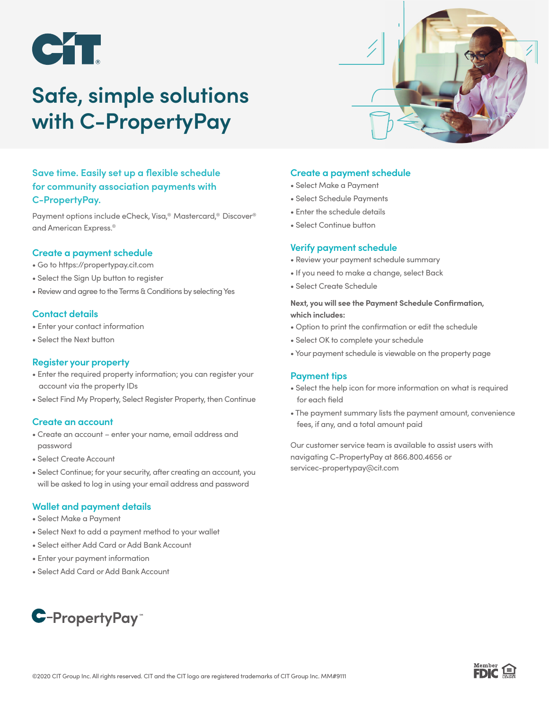

# **Safe, simple solutions with C-PropertyPay**



Payment options include eCheck, Visa,® Mastercard,® Discover® and American Express.®

### **Create a payment schedule**

- Go to https://propertypay.cit.com
- Select the Sign Up button to register
- Review and agree to the Terms & Conditions by selecting Yes

### **Contact details**

- Enter your contact information
- Select the Next button

## **Register your property**

- Enter the required property information; you can register your account via the property IDs
- Select Find My Property, Select Register Property, then Continue

### **Create an account**

- Create an account enter your name, email address and password
- Select Create Account
- Select Continue; for your security, after creating an account, you will be asked to log in using your email address and password

## **Wallet and payment details**

- Select Make a Payment
- Select Next to add a payment method to your wallet
- Select either Add Card or Add Bank Account
- Enter your payment information
- Select Add Card or Add Bank Account

# **C-PropertyPay**

# **Create a payment schedule**

- Select Make a Payment
- Select Schedule Payments
- Enter the schedule details
- Select Continue button

### **Verify payment schedule**

- Review your payment schedule summary
- If you need to make a change, select Back
- Select Create Schedule

### **Next, you will see the Payment Schedule Confirmation, which includes:**

- Option to print the confirmation or edit the schedule
- Select OK to complete your schedule
- Your payment schedule is viewable on the property page

### **Payment tips**

- Select the help icon for more information on what is required for each field
- The payment summary lists the payment amount, convenience fees, if any, and a total amount paid

Our customer service team is available to assist users with navigating C-PropertyPay at 866.800.4656 or servicec-propertypay@cit.com